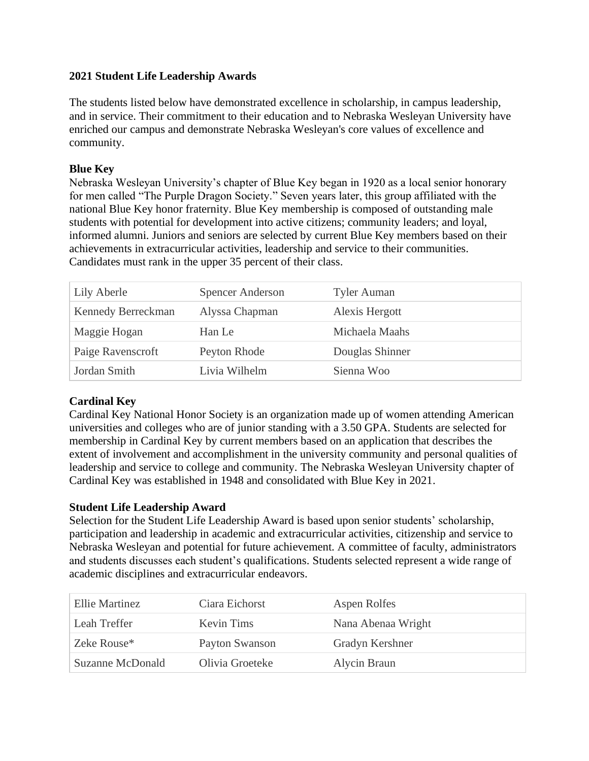### **2021 Student Life Leadership Awards**

The students listed below have demonstrated excellence in scholarship, in campus leadership, and in service. Their commitment to their education and to Nebraska Wesleyan University have enriched our campus and demonstrate Nebraska Wesleyan's core values of excellence and community.

# **Blue Key**

Nebraska Wesleyan University's chapter of Blue Key began in 1920 as a local senior honorary for men called "The Purple Dragon Society." Seven years later, this group affiliated with the national Blue Key honor fraternity. Blue Key membership is composed of outstanding male students with potential for development into active citizens; community leaders; and loyal, informed alumni. Juniors and seniors are selected by current Blue Key members based on their achievements in extracurricular activities, leadership and service to their communities. Candidates must rank in the upper 35 percent of their class.

| Lily Aberle        | <b>Spencer Anderson</b> | <b>Tyler Auman</b> |
|--------------------|-------------------------|--------------------|
| Kennedy Berreckman | Alyssa Chapman          | Alexis Hergott     |
| Maggie Hogan       | Han Le                  | Michaela Maahs     |
| Paige Ravenscroft  | Peyton Rhode            | Douglas Shinner    |
| Jordan Smith       | Livia Wilhelm           | Sienna Woo         |

# **Cardinal Key**

Cardinal Key National Honor Society is an organization made up of women attending American universities and colleges who are of junior standing with a 3.50 GPA. Students are selected for membership in Cardinal Key by current members based on an application that describes the extent of involvement and accomplishment in the university community and personal qualities of leadership and service to college and community. The Nebraska Wesleyan University chapter of Cardinal Key was established in 1948 and consolidated with Blue Key in 2021.

### **Student Life Leadership Award**

Selection for the Student Life Leadership Award is based upon senior students' scholarship, participation and leadership in academic and extracurricular activities, citizenship and service to Nebraska Wesleyan and potential for future achievement. A committee of faculty, administrators and students discusses each student's qualifications. Students selected represent a wide range of academic disciplines and extracurricular endeavors.

| Ellie Martinez          | Ciara Eichorst  | Aspen Rolfes       |
|-------------------------|-----------------|--------------------|
| Leah Treffer            | Kevin Tims      | Nana Abenaa Wright |
| Zeke Rouse*             | Payton Swanson  | Gradyn Kershner    |
| <b>Suzanne McDonald</b> | Olivia Groeteke | Alycin Braun       |